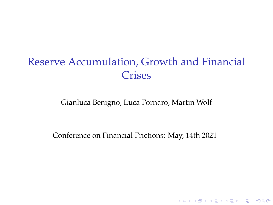# Reserve Accumulation, Growth and Financial **Crises**

Gianluca Benigno, Luca Fornaro, Martin Wolf

Conference on Financial Frictions: May, 14th 2021

K □ K K @ K K B K X B K Y B K Y Q Q Q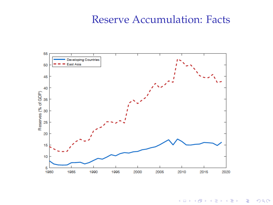#### Reserve Accumulation: Facts



K ロ X K 個 X K ミ X K ミ X ミ X Y Q Q Q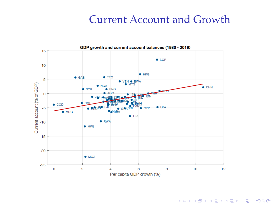### Current Account and Growth



K ロ X K 個 X K ミ X K ミ X ミ X Y Q Q Q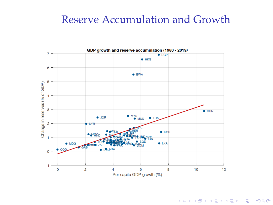### Reserve Accumulation and Growth



K ロ X K 個 X K ミ X K ミ X ミ X Y Q Q Q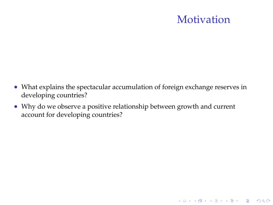### **Motivation**

- What explains the spectacular accumulation of foreign exchange reserves in developing countries?
- Why do we observe a positive relationship between growth and current account for developing countries?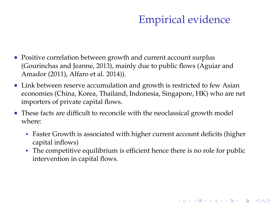# Empirical evidence

KID KA KERKER E 1990

- Positive correlation between growth and current account surplus (Gourinchas and Jeanne, 2013), mainly due to public flows (Aguiar and Amador (2011), Alfaro et al. 2014)).
- Link between reserve accumulation and growth is restricted to few Asian economies (China, Korea, Thailand, Indonesia, Singapore, HK) who are net importers of private capital flows.
- These facts are difficult to reconcile with the neoclassical growth model where:
	- $\blacktriangleright$  Faster Growth is associated with higher current account deficits (higher capital inflows)
	- $\blacktriangleright$  The competitive equilibrium is efficient hence there is no role for public intervention in capital flows.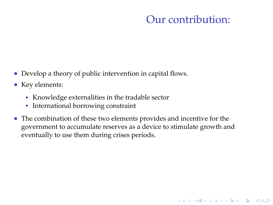### Our contribution:

K ロ ▶ K @ ▶ K 할 X X 할 X | 할 X 10 Q Q Q

- Develop a theory of public intervention in capital flows.
- Key elements:
	- $\triangleright$  Knowledge externalities in the tradable sector
	- $\blacktriangleright$  International borrowing constraint
- The combination of these two elements provides and incentive for the government to accumulate reserves as a device to stimulate growth and eventually to use them during crises periods.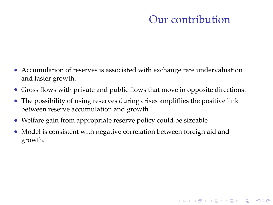### Our contribution

K ロ ▶ K @ ▶ K 할 X X 할 X | 할 X 10 Q Q Q

- Accumulation of reserves is associated with exchange rate undervaluation and faster growth.
- Gross flows with private and public flows that move in opposite directions.
- The possibility of using reserves during crises ampliflies the positive link between reserve accumulation and growth
- Welfare gain from appropriate reserve policy could be sizeable
- Model is consistent with negative correlation between foreign aid and growth.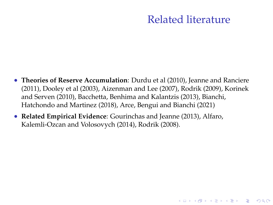### Related literature

- **Theories of Reserve Accumulation**: Durdu et al (2010), Jeanne and Ranciere (2011), Dooley et al (2003), Aizenman and Lee (2007), Rodrik (2009), Korinek and Serven (2010), Bacchetta, Benhima and Kalantzis (2013), Bianchi, Hatchondo and Martinez (2018), Arce, Bengui and Bianchi (2021)
- **Related Empirical Evidence**: Gourinchas and Jeanne (2013), Alfaro, Kalemli-Ozcan and Volosovych (2014), Rodrik (2008).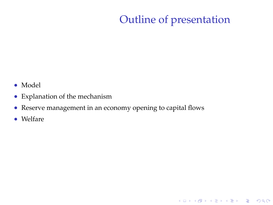# Outline of presentation

K ロ ▶ K @ ▶ K 할 ▶ K 할 ▶ | 할 | ⊙Q @

- Model
- Explanation of the mechanism
- Reserve management in an economy opening to capital flows
- Welfare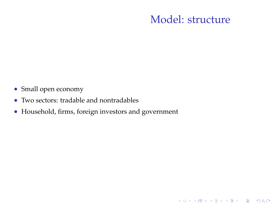### Model: structure

K ロ ▶ K @ ▶ K 할 X X 할 X | 할 X 10 Q Q Q

- Small open economy
- Two sectors: tradable and nontradables
- Household, firms, foreign investors and government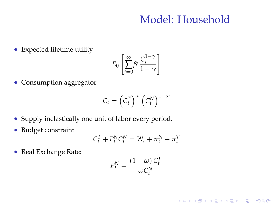### Model: Household

K ロ ▶ K @ ▶ K 할 X X 할 X | 할 X 10 Q Q Q

Expected lifetime utility

$$
E_0 \left[ \sum_{t=0}^{\infty} \beta^t \frac{C_t^{1-\gamma}}{1-\gamma} \right]
$$

• Consumption aggregator

$$
C_t=\left(C_t^T\right)^{\omega}\left(C_t^N\right)^{1-\omega}
$$

- Supply inelastically one unit of labor every period.
- Budget constraint

$$
C_t^T + P_t^N C_t^N = W_t + \pi_t^N + \pi_t^T
$$

• Real Exchange Rate:

$$
P_t^N = \frac{(1 - \omega) C_t^T}{\omega C_t^N}
$$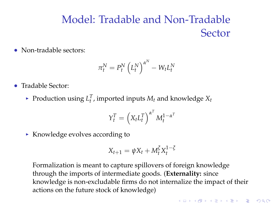# Model: Tradable and Non-Tradable Sector

• Non-tradable sectors:

$$
\pi^N_t = P^N_t \left( L^N_t \right)^{\alpha^N} - W_t L^N_t
$$

- Tradable Sector:
	- Production using  $L_t^T$ , imported inputs  $M_t$  and knowledge  $X_t$

$$
Y_{t}^{T}=\left(X_{t}L_{t}^{T}\right)^{\alpha^{T}}M_{t}^{1-\alpha^{T}}
$$

 $\triangleright$  Knowledge evolves according to

$$
X_{t+1} = \psi X_t + M_t^{\xi} X_t^{1-\xi}
$$

Formalization is meant to capture spillovers of foreign knowledge through the imports of intermediate goods. (**Externality:** since knowledge is non-excludable firms do not internalize the impact of their actions on the future stock of knowledge)

**A O A G A 4 E A 4 E A G A 4 O A CA**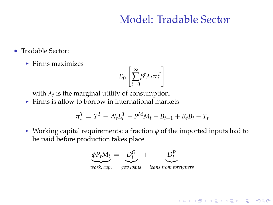### Model: Tradable Sector

**KORKARYKERKE POLO** 

- Tradable Sector:
	- $\blacktriangleright$  Firms maximizes

$$
E_0 \left[ \sum_{t=0}^{\infty} \beta^t \lambda_t \pi_t^T \right]
$$

with  $\lambda_t$  is the marginal utility of consumption.

 $\triangleright$  Firms is allow to borrow in international markets

$$
\pi_t^T = Y^T - W_t L_t^T - P^M M_t - B_{t+1} + R_t B_t - T_t
$$

 $\triangleright$  Working capital requirements: a fraction  $\phi$  of the imported inputs had to be paid before production takes place

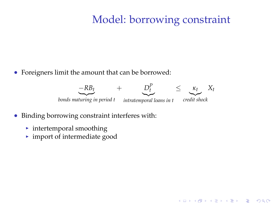### Model: borrowing constraint

K ロ ▶ K @ ▶ K 할 ▶ K 할 ▶ | 할 | ⊙Q @

Foreigners limit the amount that can be borrowed:



- Binding borrowing constraint interferes with:
	- $\blacktriangleright$  intertemporal smoothing
	- $\blacktriangleright$  import of intermediate good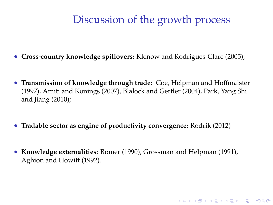### Discussion of the growth process

- **Cross-country knowledge spillovers:** Klenow and Rodrigues-Clare (2005);
- **Transmission of knowledge through trade:** Coe, Helpman and Hoffmaister (1997), Amiti and Konings (2007), Blalock and Gertler (2004), Park, Yang Shi and Jiang (2010);
- **Tradable sector as engine of productivity convergence:** Rodrik (2012)
- **Knowledge externalities**: Romer (1990), Grossman and Helpman (1991), Aghion and Howitt (1992).

**A O A G A 4 E A 4 E A G A 4 O A CA**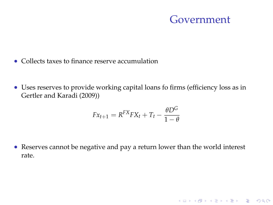#### Government

K ロ ▶ K @ ▶ K 할 ▶ K 할 ▶ | 할 | ⊙Q @

- Collects taxes to finance reserve accumulation
- Uses reserves to provide working capital loans fo firms (efficiency loss as in Gertler and Karadi (2009))

$$
Fx_{t+1} = R^{FX}FX_t + T_t - \frac{\theta D^G}{1 - \theta}
$$

 Reserves cannot be negative and pay a return lower than the world interest rate.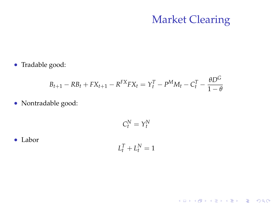### Market Clearing

K ロ ▶ K @ ▶ K 할 ▶ K 할 ▶ ... 할 ... 9 Q Q ·

Tradable good:

$$
B_{t+1} - RB_t + FX_{t+1} - R^{FX} FX_t = Y_t^T - P^M M_t - C_t^T - \frac{\theta D^G}{1 - \theta}
$$

• Nontradable good:

$$
C_t^N=Y_t^N
$$

Labor

$$
L_t^T + L_t^N = 1
$$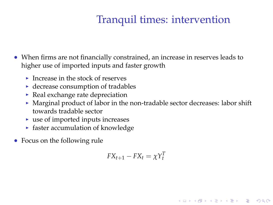# Tranquil times: intervention

- When firms are not financially constrained, an increase in reserves leads to higher use of imported inputs and faster growth
	- Increase in the stock of reserves
	- $\blacktriangleright$  decrease consumption of tradables
	- $\triangleright$  Real exchange rate depreciation
	- $\blacktriangleright$  Marginal product of labor in the non-tradable sector decreases: labor shift towards tradable sector
	- $\blacktriangleright$  use of imported inputs increases
	- $\triangleright$  faster accumulation of knowledge
- Focus on the following rule

$$
FX_{t+1} - FX_t = \chi Y_t^T
$$

K ロ ▶ K @ ▶ K 할 X X 할 X | 할 X 10 Q Q Q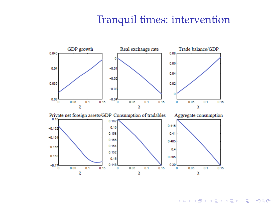#### Tranquil times: intervention



K ロ ▶ K @ ▶ K 할 > K 할 > 1 할 > 1 이익어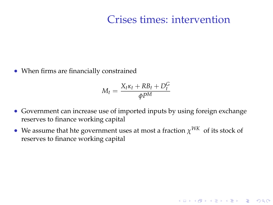#### Crises times: intervention

When firms are financially constrained

$$
M_t = \frac{X_t \kappa_t + R B_t + D_t^G}{\phi P^M}
$$

- Government can increase use of imported inputs by using foreign exchange reserves to finance working capital
- We assume that hte government uses at most a fraction  $\chi^{WK}$  of its stock of reserves to finance working capital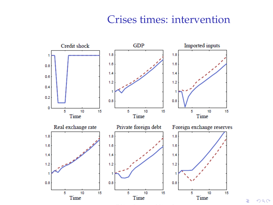#### Crises times: intervention



È  $2990$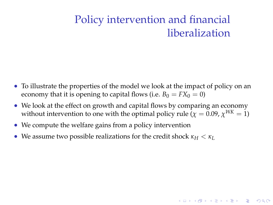# Policy intervention and financial liberalization

**KORKARYKERKE POLO** 

- To illustrate the properties of the model we look at the impact of policy on an economy that it is opening to capital flows (i.e.  $B_0 = FX_0 = 0$ )
- We look at the effect on growth and capital flows by comparing an economy without intervention to one with the optimal policy rule ( $\chi = 0.09$ ,  $\chi^{WK} = 1$ )
- We compute the welfare gains from a policy intervention
- We assume two possible realizations for the credit shock  $\kappa_H < \kappa_L$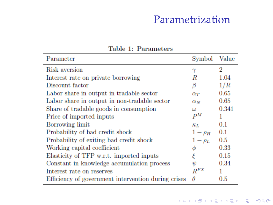### Parametrization

| Parameter                                           | Symbol         | Value |
|-----------------------------------------------------|----------------|-------|
| Risk aversion                                       |                | 2     |
| Interest rate on private borrowing                  | R              | 1.04  |
| Discount factor                                     | β              | 1/R   |
| Labor share in output in tradable sector            | $\alpha_T$     | 0.65  |
| Labor share in output in non-tradable sector        | $\alpha_N$     | 0.65  |
| Share of tradable goods in consumption              | ω              | 0.341 |
| Price of imported inputs                            | P <sub>M</sub> |       |
| Borrowing limit                                     | $\kappa_L$     | 0.1   |
| Probability of bad credit shock                     | $1-\rho_H$     | 0.1   |
| Probability of exiting bad credit shock             | $1-\rho_L$     | 0.5   |
| Working capital coefficient                         | Φ              | 0.33  |
| Elasticity of TFP w.r.t. imported inputs            | έ              | 0.15  |
| Constant in knowledge accumulation process          | $\psi$         | 0.34  |
| Interest rate on reserves                           | $R^{FX}$       | 1     |
| Efficiency of government intervention during crises | θ              | 0.5   |

Table 1: Parameters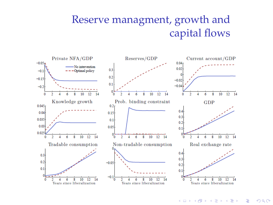# Reserve managment, growth and capital flows



イロト イ押 トイヨ トイヨ トー  $2990$ ÷.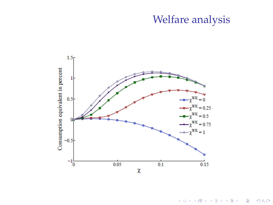### Welfare analysis



イロトメ 御 トメ 君 トメ 君 ト 重  $299$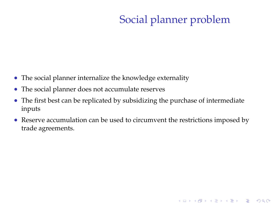# Social planner problem

K ロ ▶ K @ ▶ K 할 ▶ K 할 ▶ | 할 | ⊙Q @

- The social planner internalize the knowledge externality
- The social planner does not accumulate reserves
- The first best can be replicated by subsidizing the purchase of intermediate inputs
- Reserve accumulation can be used to circumvent the restrictions imposed by trade agreements.